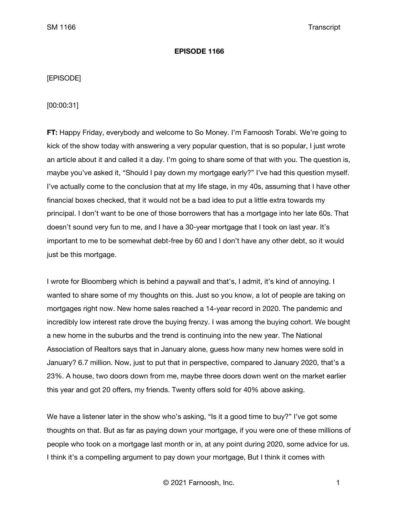### **EPISODE 1166**

# [EPISODE]

[00:00:31]

**FT:** Happy Friday, everybody and welcome to So Money. I'm Farnoosh Torabi. We're going to kick of the show today with answering a very popular question, that is so popular, I just wrote an article about it and called it a day. I'm going to share some of that with you. The question is, maybe you've asked it, "Should I pay down my mortgage early?" I've had this question myself. I've actually come to the conclusion that at my life stage, in my 40s, assuming that I have other financial boxes checked, that it would not be a bad idea to put a little extra towards my principal. I don't want to be one of those borrowers that has a mortgage into her late 60s. That doesn't sound very fun to me, and I have a 30-year mortgage that I took on last year. It's important to me to be somewhat debt-free by 60 and I don't have any other debt, so it would just be this mortgage.

I wrote for Bloomberg which is behind a paywall and that's, I admit, it's kind of annoying. I wanted to share some of my thoughts on this. Just so you know, a lot of people are taking on mortgages right now. New home sales reached a 14-year record in 2020. The pandemic and incredibly low interest rate drove the buying frenzy. I was among the buying cohort. We bought a new home in the suburbs and the trend is continuing into the new year. The National Association of Realtors says that in January alone, guess how many new homes were sold in January? 6.7 million. Now, just to put that in perspective, compared to January 2020, that's a 23%. A house, two doors down from me, maybe three doors down went on the market earlier this year and got 20 offers, my friends. Twenty offers sold for 40% above asking.

We have a listener later in the show who's asking, "Is it a good time to buy?" I've got some thoughts on that. But as far as paying down your mortgage, if you were one of these millions of people who took on a mortgage last month or in, at any point during 2020, some advice for us. I think it's a compelling argument to pay down your mortgage, But I think it comes with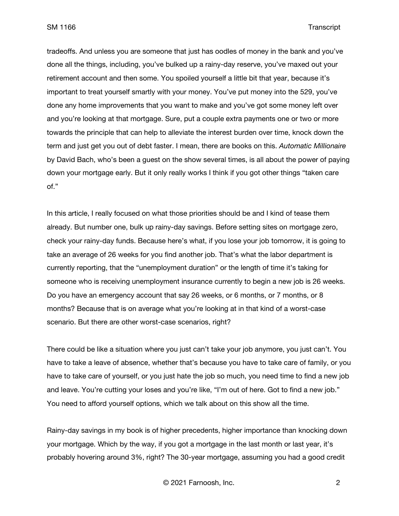tradeoffs. And unless you are someone that just has oodles of money in the bank and you've done all the things, including, you've bulked up a rainy-day reserve, you've maxed out your retirement account and then some. You spoiled yourself a little bit that year, because it's important to treat yourself smartly with your money. You've put money into the 529, you've done any home improvements that you want to make and you've got some money left over and you're looking at that mortgage. Sure, put a couple extra payments one or two or more towards the principle that can help to alleviate the interest burden over time, knock down the term and just get you out of debt faster. I mean, there are books on this. *Automatic Millionaire* by David Bach, who's been a guest on the show several times, is all about the power of paying down your mortgage early. But it only really works I think if you got other things "taken care of."

In this article, I really focused on what those priorities should be and I kind of tease them already. But number one, bulk up rainy-day savings. Before setting sites on mortgage zero, check your rainy-day funds. Because here's what, if you lose your job tomorrow, it is going to take an average of 26 weeks for you find another job. That's what the labor department is currently reporting, that the "unemployment duration" or the length of time it's taking for someone who is receiving unemployment insurance currently to begin a new job is 26 weeks. Do you have an emergency account that say 26 weeks, or 6 months, or 7 months, or 8 months? Because that is on average what you're looking at in that kind of a worst-case scenario. But there are other worst-case scenarios, right?

There could be like a situation where you just can't take your job anymore, you just can't. You have to take a leave of absence, whether that's because you have to take care of family, or you have to take care of yourself, or you just hate the job so much, you need time to find a new job and leave. You're cutting your loses and you're like, "I'm out of here. Got to find a new job." You need to afford yourself options, which we talk about on this show all the time.

Rainy-day savings in my book is of higher precedents, higher importance than knocking down your mortgage. Which by the way, if you got a mortgage in the last month or last year, it's probably hovering around 3%, right? The 30-year mortgage, assuming you had a good credit

© 2021 Farnoosh, Inc. 2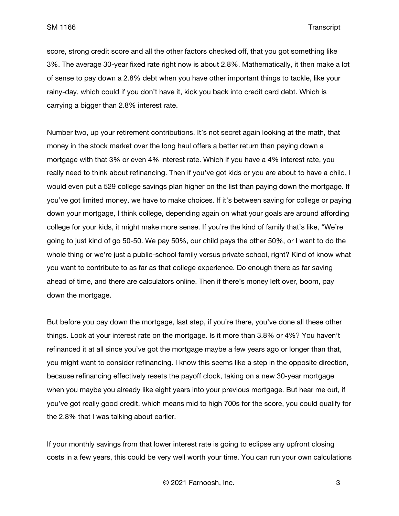score, strong credit score and all the other factors checked off, that you got something like 3%. The average 30-year fixed rate right now is about 2.8%. Mathematically, it then make a lot of sense to pay down a 2.8% debt when you have other important things to tackle, like your rainy-day, which could if you don't have it, kick you back into credit card debt. Which is carrying a bigger than 2.8% interest rate.

Number two, up your retirement contributions. It's not secret again looking at the math, that money in the stock market over the long haul offers a better return than paying down a mortgage with that 3% or even 4% interest rate. Which if you have a 4% interest rate, you really need to think about refinancing. Then if you've got kids or you are about to have a child, I would even put a 529 college savings plan higher on the list than paying down the mortgage. If you've got limited money, we have to make choices. If it's between saving for college or paying down your mortgage, I think college, depending again on what your goals are around affording college for your kids, it might make more sense. If you're the kind of family that's like, "We're going to just kind of go 50-50. We pay 50%, our child pays the other 50%, or I want to do the whole thing or we're just a public-school family versus private school, right? Kind of know what you want to contribute to as far as that college experience. Do enough there as far saving ahead of time, and there are calculators online. Then if there's money left over, boom, pay down the mortgage.

But before you pay down the mortgage, last step, if you're there, you've done all these other things. Look at your interest rate on the mortgage. Is it more than 3.8% or 4%? You haven't refinanced it at all since you've got the mortgage maybe a few years ago or longer than that, you might want to consider refinancing. I know this seems like a step in the opposite direction, because refinancing effectively resets the payoff clock, taking on a new 30-year mortgage when you maybe you already like eight years into your previous mortgage. But hear me out, if you've got really good credit, which means mid to high 700s for the score, you could qualify for the 2.8% that I was talking about earlier.

If your monthly savings from that lower interest rate is going to eclipse any upfront closing costs in a few years, this could be very well worth your time. You can run your own calculations

© 2021 Farnoosh, Inc. 3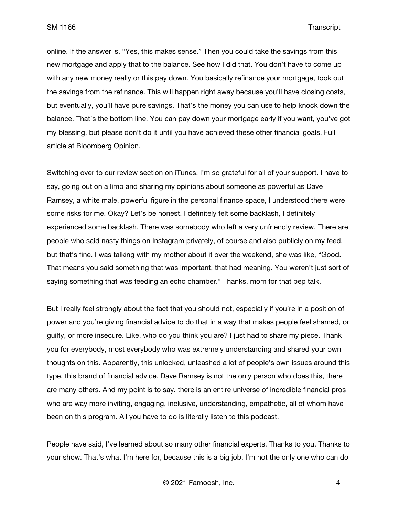online. If the answer is, "Yes, this makes sense." Then you could take the savings from this new mortgage and apply that to the balance. See how I did that. You don't have to come up with any new money really or this pay down. You basically refinance your mortgage, took out the savings from the refinance. This will happen right away because you'll have closing costs, but eventually, you'll have pure savings. That's the money you can use to help knock down the balance. That's the bottom line. You can pay down your mortgage early if you want, you've got my blessing, but please don't do it until you have achieved these other financial goals. Full article at Bloomberg Opinion.

Switching over to our review section on iTunes. I'm so grateful for all of your support. I have to say, going out on a limb and sharing my opinions about someone as powerful as Dave Ramsey, a white male, powerful figure in the personal finance space, I understood there were some risks for me. Okay? Let's be honest. I definitely felt some backlash, I definitely experienced some backlash. There was somebody who left a very unfriendly review. There are people who said nasty things on Instagram privately, of course and also publicly on my feed, but that's fine. I was talking with my mother about it over the weekend, she was like, "Good. That means you said something that was important, that had meaning. You weren't just sort of saying something that was feeding an echo chamber." Thanks, mom for that pep talk.

But I really feel strongly about the fact that you should not, especially if you're in a position of power and you're giving financial advice to do that in a way that makes people feel shamed, or guilty, or more insecure. Like, who do you think you are? I just had to share my piece. Thank you for everybody, most everybody who was extremely understanding and shared your own thoughts on this. Apparently, this unlocked, unleashed a lot of people's own issues around this type, this brand of financial advice. Dave Ramsey is not the only person who does this, there are many others. And my point is to say, there is an entire universe of incredible financial pros who are way more inviting, engaging, inclusive, understanding, empathetic, all of whom have been on this program. All you have to do is literally listen to this podcast.

People have said, I've learned about so many other financial experts. Thanks to you. Thanks to your show. That's what I'm here for, because this is a big job. I'm not the only one who can do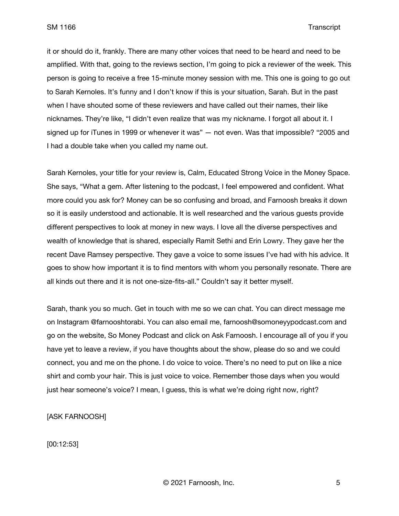it or should do it, frankly. There are many other voices that need to be heard and need to be amplified. With that, going to the reviews section, I'm going to pick a reviewer of the week. This person is going to receive a free 15-minute money session with me. This one is going to go out to Sarah Kernoles. It's funny and I don't know if this is your situation, Sarah. But in the past when I have shouted some of these reviewers and have called out their names, their like nicknames. They're like, "I didn't even realize that was my nickname. I forgot all about it. I signed up for iTunes in 1999 or whenever it was" — not even. Was that impossible? "2005 and I had a double take when you called my name out.

Sarah Kernoles, your title for your review is, Calm, Educated Strong Voice in the Money Space. She says, "What a gem. After listening to the podcast, I feel empowered and confident. What more could you ask for? Money can be so confusing and broad, and Farnoosh breaks it down so it is easily understood and actionable. It is well researched and the various guests provide different perspectives to look at money in new ways. I love all the diverse perspectives and wealth of knowledge that is shared, especially Ramit Sethi and Erin Lowry. They gave her the recent Dave Ramsey perspective. They gave a voice to some issues I've had with his advice. It goes to show how important it is to find mentors with whom you personally resonate. There are all kinds out there and it is not one-size-fits-all." Couldn't say it better myself.

Sarah, thank you so much. Get in touch with me so we can chat. You can direct message me on Instagram @farnooshtorabi. You can also email me, farnoosh@somoneyypodcast.com and go on the website, So Money Podcast and click on Ask Farnoosh. I encourage all of you if you have yet to leave a review, if you have thoughts about the show, please do so and we could connect, you and me on the phone. I do voice to voice. There's no need to put on like a nice shirt and comb your hair. This is just voice to voice. Remember those days when you would just hear someone's voice? I mean, I guess, this is what we're doing right now, right?

[ASK FARNOOSH]

[00:12:53]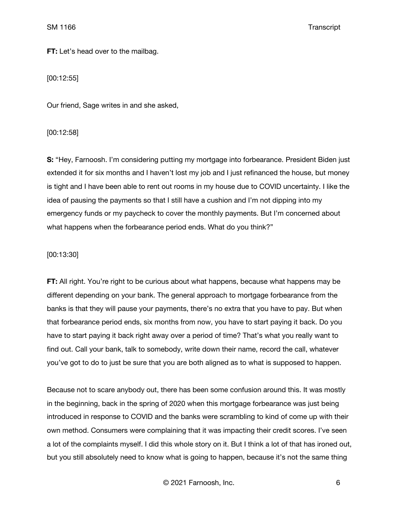**FT:** Let's head over to the mailbag.

[00:12:55]

Our friend, Sage writes in and she asked,

[00:12:58]

**S:** "Hey, Farnoosh. I'm considering putting my mortgage into forbearance. President Biden just extended it for six months and I haven't lost my job and I just refinanced the house, but money is tight and I have been able to rent out rooms in my house due to COVID uncertainty. I like the idea of pausing the payments so that I still have a cushion and I'm not dipping into my emergency funds or my paycheck to cover the monthly payments. But I'm concerned about what happens when the forbearance period ends. What do you think?"

## [00:13:30]

**FT:** All right. You're right to be curious about what happens, because what happens may be different depending on your bank. The general approach to mortgage forbearance from the banks is that they will pause your payments, there's no extra that you have to pay. But when that forbearance period ends, six months from now, you have to start paying it back. Do you have to start paying it back right away over a period of time? That's what you really want to find out. Call your bank, talk to somebody, write down their name, record the call, whatever you've got to do to just be sure that you are both aligned as to what is supposed to happen.

Because not to scare anybody out, there has been some confusion around this. It was mostly in the beginning, back in the spring of 2020 when this mortgage forbearance was just being introduced in response to COVID and the banks were scrambling to kind of come up with their own method. Consumers were complaining that it was impacting their credit scores. I've seen a lot of the complaints myself. I did this whole story on it. But I think a lot of that has ironed out, but you still absolutely need to know what is going to happen, because it's not the same thing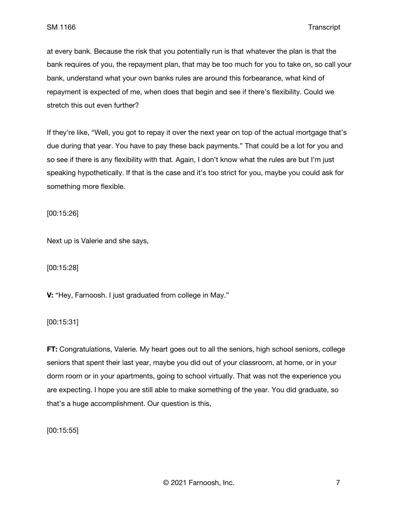at every bank. Because the risk that you potentially run is that whatever the plan is that the bank requires of you, the repayment plan, that may be too much for you to take on, so call your bank, understand what your own banks rules are around this forbearance, what kind of repayment is expected of me, when does that begin and see if there's flexibility. Could we stretch this out even further?

If they're like, "Well, you got to repay it over the next year on top of the actual mortgage that's due during that year. You have to pay these back payments." That could be a lot for you and so see if there is any flexibility with that. Again, I don't know what the rules are but I'm just speaking hypothetically. If that is the case and it's too strict for you, maybe you could ask for something more flexible.

[00:15:26]

Next up is Valerie and she says,

[00:15:28]

**V:** "Hey, Farnoosh. I just graduated from college in May."

[00:15:31]

**FT:** Congratulations, Valerie. My heart goes out to all the seniors, high school seniors, college seniors that spent their last year, maybe you did out of your classroom, at home, or in your dorm room or in your apartments, going to school virtually. That was not the experience you are expecting. I hope you are still able to make something of the year. You did graduate, so that's a huge accomplishment. Our question is this,

[00:15:55]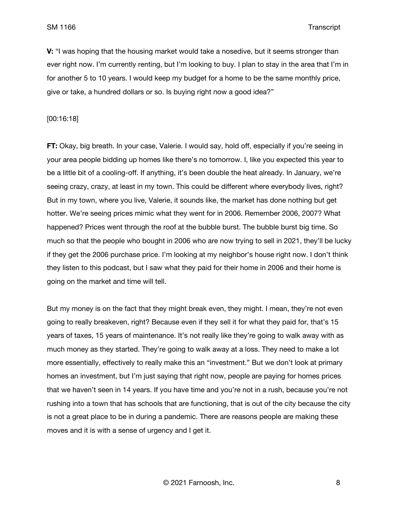**V:** "I was hoping that the housing market would take a nosedive, but it seems stronger than ever right now. I'm currently renting, but I'm looking to buy. I plan to stay in the area that I'm in for another 5 to 10 years. I would keep my budget for a home to be the same monthly price, give or take, a hundred dollars or so. Is buying right now a good idea?"

[00:16:18]

**FT:** Okay, big breath. In your case, Valerie. I would say, hold off, especially if you're seeing in your area people bidding up homes like there's no tomorrow. I, like you expected this year to be a little bit of a cooling-off. If anything, it's been double the heat already. In January, we're seeing crazy, crazy, at least in my town. This could be different where everybody lives, right? But in my town, where you live, Valerie, it sounds like, the market has done nothing but get hotter. We're seeing prices mimic what they went for in 2006. Remember 2006, 2007? What happened? Prices went through the roof at the bubble burst. The bubble burst big time. So much so that the people who bought in 2006 who are now trying to sell in 2021, they'll be lucky if they get the 2006 purchase price. I'm looking at my neighbor's house right now. I don't think they listen to this podcast, but I saw what they paid for their home in 2006 and their home is going on the market and time will tell.

But my money is on the fact that they might break even, they might. I mean, they're not even going to really breakeven, right? Because even if they sell it for what they paid for, that's 15 years of taxes, 15 years of maintenance. It's not really like they're going to walk away with as much money as they started. They're going to walk away at a loss. They need to make a lot more essentially, effectively to really make this an "investment." But we don't look at primary homes an investment, but I'm just saying that right now, people are paying for homes prices that we haven't seen in 14 years. If you have time and you're not in a rush, because you're not rushing into a town that has schools that are functioning, that is out of the city because the city is not a great place to be in during a pandemic. There are reasons people are making these moves and it is with a sense of urgency and I get it.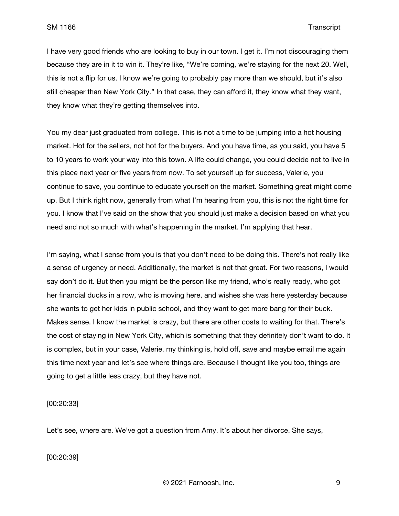I have very good friends who are looking to buy in our town. I get it. I'm not discouraging them because they are in it to win it. They're like, "We're coming, we're staying for the next 20. Well, this is not a flip for us. I know we're going to probably pay more than we should, but it's also still cheaper than New York City." In that case, they can afford it, they know what they want, they know what they're getting themselves into.

You my dear just graduated from college. This is not a time to be jumping into a hot housing market. Hot for the sellers, not hot for the buyers. And you have time, as you said, you have 5 to 10 years to work your way into this town. A life could change, you could decide not to live in this place next year or five years from now. To set yourself up for success, Valerie, you continue to save, you continue to educate yourself on the market. Something great might come up. But I think right now, generally from what I'm hearing from you, this is not the right time for you. I know that I've said on the show that you should just make a decision based on what you need and not so much with what's happening in the market. I'm applying that hear.

I'm saying, what I sense from you is that you don't need to be doing this. There's not really like a sense of urgency or need. Additionally, the market is not that great. For two reasons, I would say don't do it. But then you might be the person like my friend, who's really ready, who got her financial ducks in a row, who is moving here, and wishes she was here yesterday because she wants to get her kids in public school, and they want to get more bang for their buck. Makes sense. I know the market is crazy, but there are other costs to waiting for that. There's the cost of staying in New York City, which is something that they definitely don't want to do. It is complex, but in your case, Valerie, my thinking is, hold off, save and maybe email me again this time next year and let's see where things are. Because I thought like you too, things are going to get a little less crazy, but they have not.

[00:20:33]

Let's see, where are. We've got a question from Amy. It's about her divorce. She says,

[00:20:39]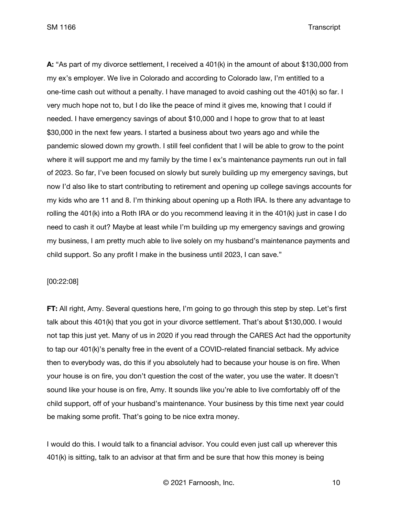**A:** "As part of my divorce settlement, I received a 401(k) in the amount of about \$130,000 from my ex's employer. We live in Colorado and according to Colorado law, I'm entitled to a one-time cash out without a penalty. I have managed to avoid cashing out the 401(k) so far. I very much hope not to, but I do like the peace of mind it gives me, knowing that I could if needed. I have emergency savings of about \$10,000 and I hope to grow that to at least \$30,000 in the next few years. I started a business about two years ago and while the pandemic slowed down my growth. I still feel confident that I will be able to grow to the point where it will support me and my family by the time I ex's maintenance payments run out in fall of 2023. So far, I've been focused on slowly but surely building up my emergency savings, but now I'd also like to start contributing to retirement and opening up college savings accounts for my kids who are 11 and 8. I'm thinking about opening up a Roth IRA. Is there any advantage to rolling the 401(k) into a Roth IRA or do you recommend leaving it in the 401(k) just in case I do need to cash it out? Maybe at least while I'm building up my emergency savings and growing my business, I am pretty much able to live solely on my husband's maintenance payments and child support. So any profit I make in the business until 2023, I can save."

#### [00:22:08]

**FT:** All right, Amy. Several questions here, I'm going to go through this step by step. Let's first talk about this 401(k) that you got in your divorce settlement. That's about \$130,000. I would not tap this just yet. Many of us in 2020 if you read through the CARES Act had the opportunity to tap our 401(k)'s penalty free in the event of a COVID-related financial setback. My advice then to everybody was, do this if you absolutely had to because your house is on fire. When your house is on fire, you don't question the cost of the water, you use the water. It doesn't sound like your house is on fire, Amy. It sounds like you're able to live comfortably off of the child support, off of your husband's maintenance. Your business by this time next year could be making some profit. That's going to be nice extra money.

I would do this. I would talk to a financial advisor. You could even just call up wherever this 401(k) is sitting, talk to an advisor at that firm and be sure that how this money is being

© 2021 Farnoosh, Inc. 10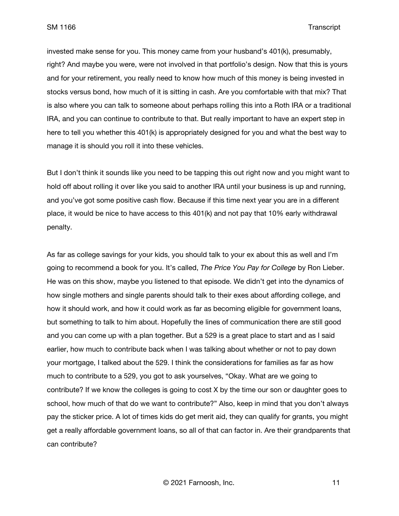invested make sense for you. This money came from your husband's 401(k), presumably, right? And maybe you were, were not involved in that portfolio's design. Now that this is yours and for your retirement, you really need to know how much of this money is being invested in stocks versus bond, how much of it is sitting in cash. Are you comfortable with that mix? That is also where you can talk to someone about perhaps rolling this into a Roth IRA or a traditional IRA, and you can continue to contribute to that. But really important to have an expert step in here to tell you whether this 401(k) is appropriately designed for you and what the best way to manage it is should you roll it into these vehicles.

But I don't think it sounds like you need to be tapping this out right now and you might want to hold off about rolling it over like you said to another IRA until your business is up and running, and you've got some positive cash flow. Because if this time next year you are in a different place, it would be nice to have access to this 401(k) and not pay that 10% early withdrawal penalty.

As far as college savings for your kids, you should talk to your ex about this as well and I'm going to recommend a book for you. It's called, *The Price You Pay for College* by Ron Lieber. He was on this show, maybe you listened to that episode. We didn't get into the dynamics of how single mothers and single parents should talk to their exes about affording college, and how it should work, and how it could work as far as becoming eligible for government loans, but something to talk to him about. Hopefully the lines of communication there are still good and you can come up with a plan together. But a 529 is a great place to start and as I said earlier, how much to contribute back when I was talking about whether or not to pay down your mortgage, I talked about the 529. I think the considerations for families as far as how much to contribute to a 529, you got to ask yourselves, "Okay. What are we going to contribute? If we know the colleges is going to cost X by the time our son or daughter goes to school, how much of that do we want to contribute?" Also, keep in mind that you don't always pay the sticker price. A lot of times kids do get merit aid, they can qualify for grants, you might get a really affordable government loans, so all of that can factor in. Are their grandparents that can contribute?